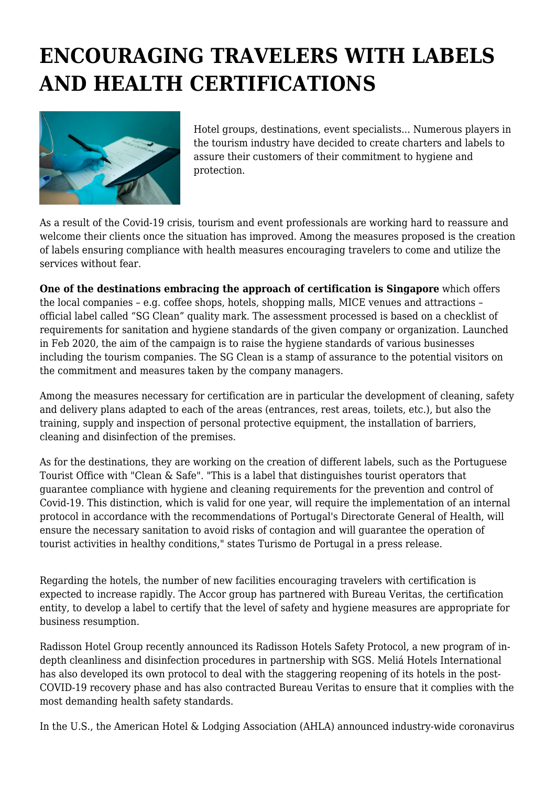## **ENCOURAGING TRAVELERS WITH LABELS AND HEALTH CERTIFICATIONS**



Hotel groups, destinations, event specialists... Numerous players in the tourism industry have decided to create charters and labels to assure their customers of their commitment to hygiene and protection.

As a result of the Covid-19 crisis, tourism and event professionals are working hard to reassure and welcome their clients once the situation has improved. Among the measures proposed is the creation of labels ensuring compliance with health measures encouraging travelers to come and utilize the services without fear.

**One of the destinations embracing the approach of certification is Singapore** which offers the local companies – e.g. coffee shops, hotels, shopping malls, MICE venues and attractions – official label called "SG Clean" quality mark. The assessment processed is based on a checklist of requirements for sanitation and hygiene standards of the given company or organization. Launched in Feb 2020, the aim of the campaign is to raise the hygiene standards of various businesses including the tourism companies. The SG Clean is a stamp of assurance to the potential visitors on the commitment and measures taken by the company managers.

Among the measures necessary for certification are in particular the development of cleaning, safety and delivery plans adapted to each of the areas (entrances, rest areas, toilets, etc.), but also the training, supply and inspection of personal protective equipment, the installation of barriers, cleaning and disinfection of the premises.

As for the destinations, they are working on the creation of different labels, such as the Portuguese Tourist Office with "Clean & Safe". "This is a label that distinguishes tourist operators that guarantee compliance with hygiene and cleaning requirements for the prevention and control of Covid-19. This distinction, which is valid for one year, will require the implementation of an internal protocol in accordance with the recommendations of Portugal's Directorate General of Health, will ensure the necessary sanitation to avoid risks of contagion and will guarantee the operation of tourist activities in healthy conditions," states Turismo de Portugal in a press release.

Regarding the hotels, the number of new facilities encouraging travelers with certification is expected to increase rapidly. The Accor group has partnered with Bureau Veritas, the certification entity, to develop a label to certify that the level of safety and hygiene measures are appropriate for business resumption.

Radisson Hotel Group recently announced its Radisson Hotels Safety Protocol, a new program of indepth cleanliness and disinfection procedures in partnership with SGS. Meliá Hotels International has also developed its own protocol to deal with the staggering reopening of its hotels in the post-COVID-19 recovery phase and has also contracted Bureau Veritas to ensure that it complies with the most demanding health safety standards.

In the U.S., the American Hotel & Lodging Association (AHLA) announced industry-wide coronavirus